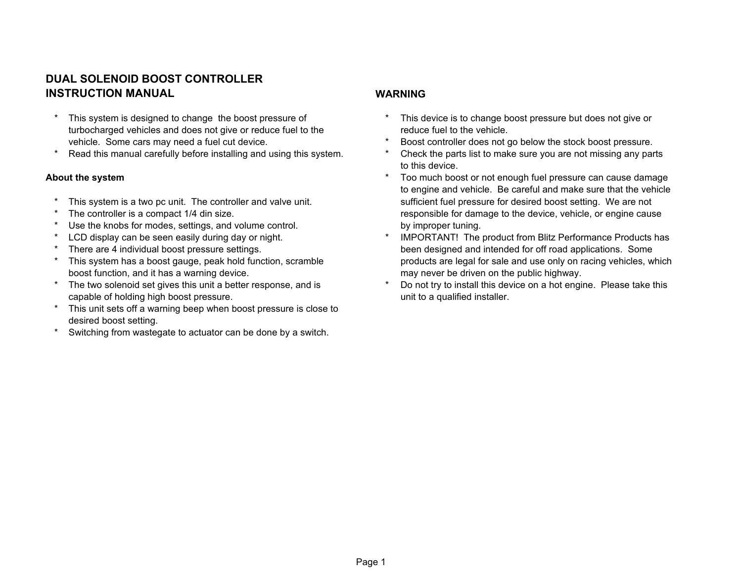# **DUAL SOLENOID BOOST CONTROLLER INSTRUCTION MANUAL WARNING**

- turbocharged vehicles and does not give or reduce fuel to the reduce fuel to the vehicle.
- 

- 
- 
- \* Use the knobs for modes, settings, and volume control. The same state by improper tuning.
- 
- 
- boost function, and it has a warning device. The may never be driven on the public highway.
- capable of holding high boost pressure. Unit to a qualified installer.
- \* This unit sets off a warning beep when boost pressure is close to desired boost setting.
- \* Switching from wastegate to actuator can be done by a switch.

- This system is designed to change the boost pressure of  $\ddot{\hspace{1cm}}$  This device is to change boost pressure but does not give or
- vehicle. Some cars may need a fuel cut device.  $\blacksquare$  A Boost controller does not go below the stock boost pressure.
- Read this manual carefully before installing and using this system. The check the parts list to make sure you are not missing any parts to this device.
- **About the system About the system About the system the system** *t* **Too much boost or not enough fuel pressure can cause damage is a set of the system <b>***t* to engine and vehicle. Be careful and make sure that the vehicle \* This system is a two pc unit. The controller and valve unit. Sufficient fuel pressure for desired boost setting. We are not \* The controller is a compact 1/4 din size. responsible for damage to the device, vehicle, or engine cause
	- LCD display can be seen easily during day or night. \* \* IMPORTANT! The product from Blitz Performance Products has \* There are 4 individual boost pressure settings. been designed and intended for off road applications. Some This system has a boost gauge, peak hold function, scramble products are legal for sale and use only on racing vehicles, which
	- \* The two solenoid set gives this unit a better response, and is \* Do not try to install this device on a hot engine. Please take this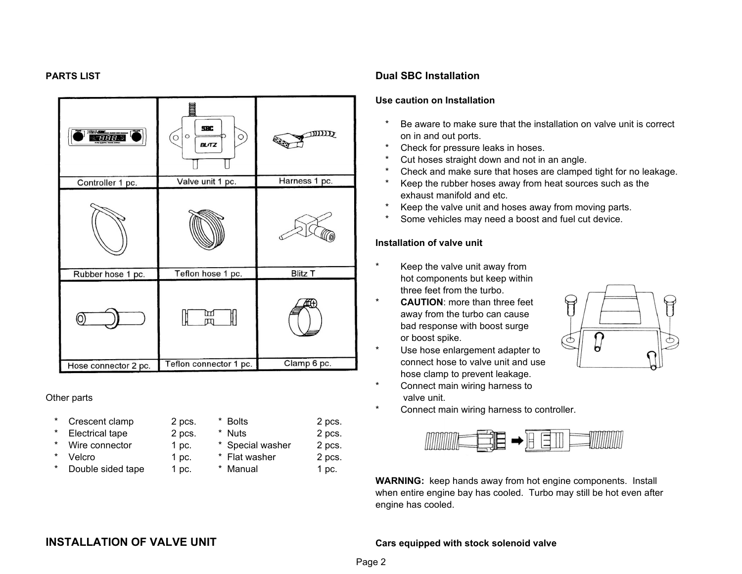| <b>DEALSER</b><br>888. | <b>SBC</b><br>$\circ$<br>$\circ$<br>$\circ$<br><b>BLITZ</b> | $\text{MDD}$<br>$\epsilon$ |  |
|------------------------|-------------------------------------------------------------|----------------------------|--|
| Controller 1 pc.       | Valve unit 1 pc.                                            | Harness 1 pc.              |  |
|                        |                                                             |                            |  |
| Rubber hose 1 pc.      | Teflon hose 1 pc.                                           | <b>Blitz T</b>             |  |
| O                      | ₥<br>$\pi$                                                  |                            |  |
| Hose connector 2 pc.   | Teflon connector 1 pc.                                      | Clamp 6 pc.                |  |

| $\star$ | Crescent clamp         | 2 pcs.  | * Bolts          | 2 pcs. |
|---------|------------------------|---------|------------------|--------|
| $\star$ | <b>Electrical tape</b> | 2 pcs.  | * Nuts           | 2 pcs. |
|         | * Wire connector       | 1 pc.   | * Special washer | 2 pcs. |
| $\star$ | Velcro                 | $1$ pc. | * Flat washer    | 2 pcs. |
| $\star$ | Double sided tape      | 1~pc.   | * Manual         | 1 pc.  |

### **PARTS LIST Dual SBC Installation**

### **Use caution on Installation**

- Be aware to make sure that the installation on valve unit is correct on in and out ports.
- \* Check for pressure leaks in hoses.
- \* Cut hoses straight down and not in an angle.
- \* Check and make sure that hoses are clamped tight for no leakage.
- Keep the rubber hoses away from heat sources such as the exhaust manifold and etc.
- Keep the valve unit and hoses away from moving parts.
- Some vehicles may need a boost and fuel cut device.

### **Installation of valve unit**

- \* Keep the valve unit away from hot components but keep within three feet from the turbo.
- \* away from the turbo can cause bad response with boost surge or boost spike. **CAUTION**: more than three feet
- Use hose enlargement adapter to connect hose to valve unit and use hose clamp to prevent leakage.
- Connect main wiring harness to Other parts **valve unit.** Other parts valve unit.
- $\mathbb{F}$ Ó Ь
- Connect main wiring harness to controller.



when entire engine bay has cooled. Turbo may still be hot even after engine has cooled. **WARNING:** keep hands away from hot engine components. Install

# **INSTALLATION OF VALVE UNIT Cars equipped with stock solenoid valve**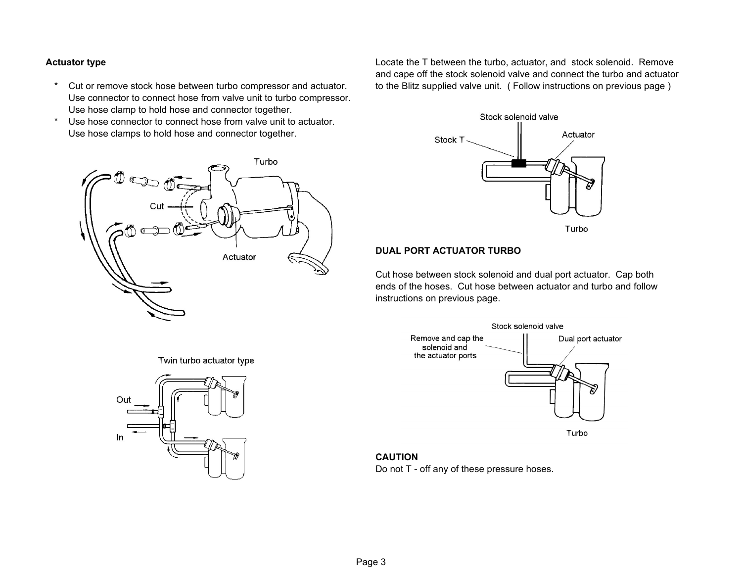- \* Cut or remove stock hose between turbo compressor and actuator. to the Blitz supplied valve unit. ( Follow instructions on previous page ) Use connector to connect hose from valve unit to turbo compressor. Use hose clamp to hold hose and connector together.
- \* Use hose connector to connect hose from valve unit to actuator. Use hose clamps to hold hose and connector together.

**Actuator type Locate the T between the turbo, actuator, and stock solenoid. Remove** and cape off the stock solenoid valve and connect the turbo and actuator



### **DUAL PORT ACTUATOR TURBO**

Cut hose between stock solenoid and dual port actuator. Cap both ends of the hoses. Cut hose between actuator and turbo and follow instructions on previous page.



**CAUTION**

Do not T - off any of these pressure hoses.



Twin turbo actuator type

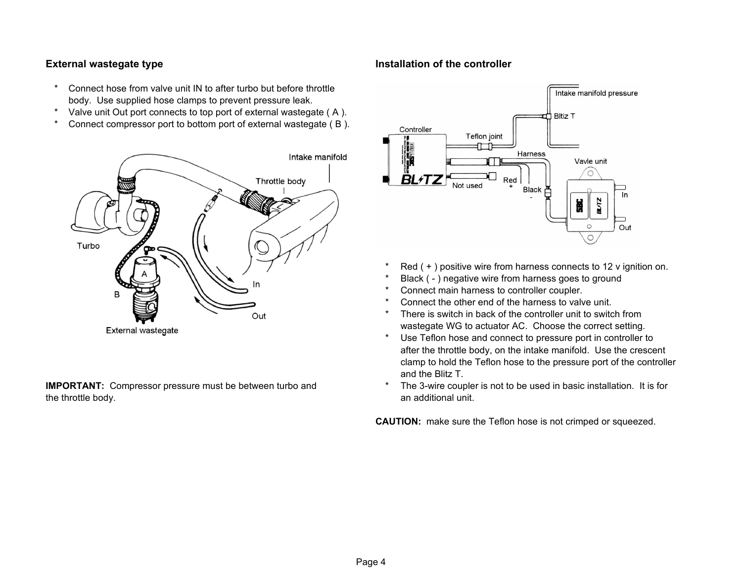- \* Connect hose from valve unit IN to after turbo but before throttle body. Use supplied hose clamps to prevent pressure leak.
- \* Valve unit Out port connects to top port of external wastegate ( A ).
- \* Connect compressor port to bottom port of external wastegate ( B ).



the throttle body. The throttle body. The throttle body. The throttle body. The throttle body. **IMPORTANT:** Compressor pressure must be between turbo and

### **External wastegate type Installation of the controller**



- Red  $( + )$  positive wire from harness connects to 12 v ignition on.
- Black ( ) negative wire from harness goes to ground
- Connect main harness to controller coupler.
- Connect the other end of the harness to valve unit.
- There is switch in back of the controller unit to switch from wastegate WG to actuator AC. Choose the correct setting.
- Use Teflon hose and connect to pressure port in controller to after the throttle body, on the intake manifold. Use the crescent clamp to hold the Teflon hose to the pressure port of the controller and the Blitz T.
- The 3-wire coupler is not to be used in basic installation. It is for

**CAUTION:** make sure the Teflon hose is not crimped or squeezed.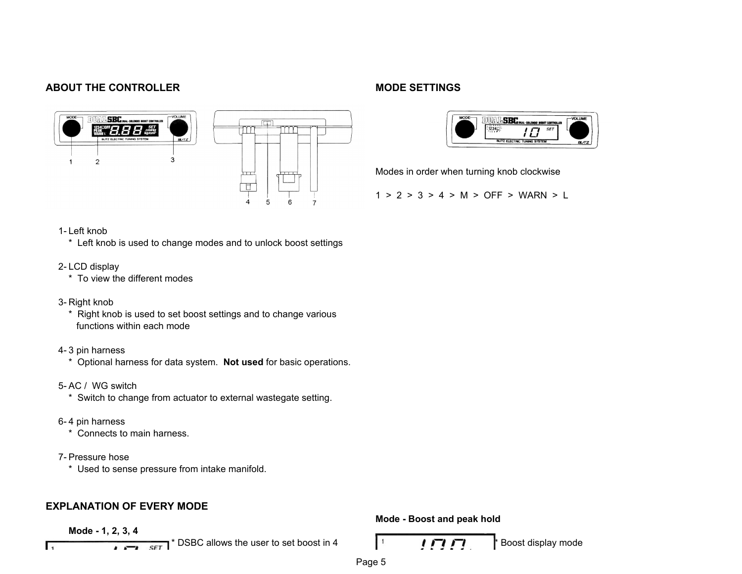## **ABOUT THE CONTROLLER MODE SETTINGS**







Modes in order when turning knob clockwise

1 > 2 > 3 > 4 > M > OFF > WARN > L

### 1-Left knob

\* Left knob is used to change modes and to unlock boost settings

### 2-LCD display

\* To view the different modes

### 3- Right knob

- \* Right knob is used to set boost settings and to change various functions within each mode
- 4-3 pin harness
	- \* Optional harness for data system. **Not used** for basic operations.
- 5- AC / WG switch
	- \* Switch to change from actuator to external wastegate setting.
- 6-4 pin harness
	- \* Connects to main harness.
- 7- Pressure hose
	- \* Used to sense pressure from intake manifold.

# **EXPLANATION OF EVERY MODE**

**Mode - 1, 2, 3, 4** 

 $\overline{1}$ 

 $\frac{1}{\sqrt{1}}$   $\frac{1}{\sqrt{1}}$   $\frac{1}{\sqrt{1}}$  is  $\frac{1}{\sqrt{1}}$  is  $\frac{1}{\sqrt{1}}$  is  $\frac{1}{\sqrt{1}}$  is  $\frac{1}{\sqrt{1}}$  is  $\frac{1}{\sqrt{1}}$  is  $\frac{1}{\sqrt{1}}$  is  $\frac{1}{\sqrt{1}}$  is  $\frac{1}{\sqrt{1}}$  is  $\frac{1}{\sqrt{1}}$  is  $\frac{1}{\sqrt{1}}$  is  $\frac{1}{\sqrt{1}}$  is  $\frac$ 

**Mode - Boost and peak hold** 

$$
^{\pm }=I\varPi \varPi .
$$

Page 5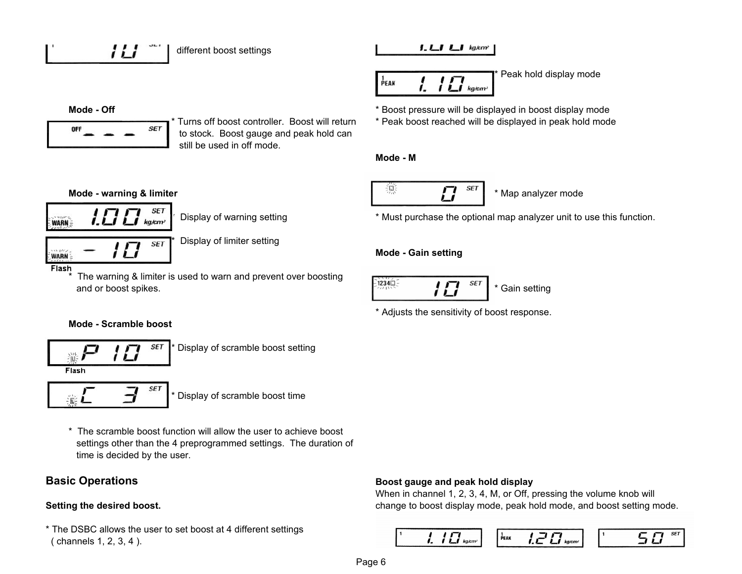$$
f_{\rm{max}}
$$

$$
J. \sqcup J \sqcup J \text{ kg/cm}
$$

$$
\frac{1}{P_{\text{EAK}}} = \int_{\mathcal{I}} \int \prod_{kg, \text{term}}
$$

Peak hold display mode

**Mode - Off Mode - Off http://willengele.com/intervalues/intervalues/**  $\bullet$  Boost pressure will be displayed in boost display mode

11 I



\* Turns off boost controller. Boost will return \* Peak boost reached will be displayed in peak hold mode to stock. Boost gauge and peak hold can still be used in off mode.

# **Mode - M**



Display of warning setting  $*$  Must purchase the optional map analyzer unit to use this function.

# **Mode - Gain setting**



\* Adjusts the sensitivity of boost response.



 $\mathbf{L}$  kg/cm<sup>2</sup>

**SET** 

Display of limiter setting

**WARN** Flash

and cen-

**WARN-**

The warning & limiter is used to warn and prevent over boosting and or boost spikes.<br>and or boost spikes.

# **Mode - Scramble boost**



Display of scramble boost setting

**SET** 

\* Display of scramble boost time

\* The scramble boost function will allow the user to achieve boost settings other than the 4 preprogrammed settings. The duration of time is decided by the user.

\* The DSBC allows the user to set boost at 4 different settings ( channels 1, 2, 3, 4 ).

# **Basic Operations Boost gauge and peak hold display**

When in channel 1, 2, 3, 4, M, or Off, pressing the volume knob will Setting the desired boost. **Setting the desired boost. change to boost display mode, peak hold mode, and boost setting mode.** 

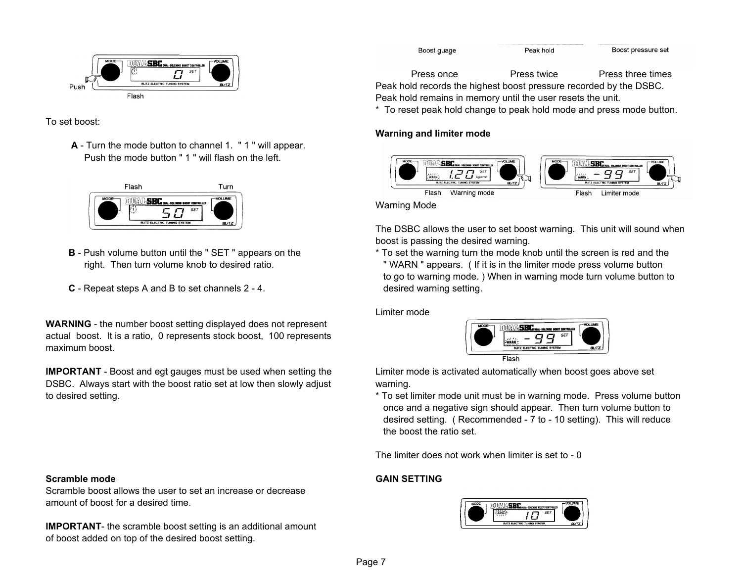

To set boost:

 Push the mode button " 1 " will flash on the left. **A** - Turn the mode button to channel 1. " 1 " will appear.



- **B** Push volume button until the " SET " appears on the
- **C** Repeat steps A and B to set channels 2 4.

actual boost. It is a ratio, 0 represents stock boost, 100 represents maximum boost. **WARNING** - the number boost setting displayed does not represent

DSBC. Always start with the boost ratio set at low then slowly adjust warning. **IMPORTANT** - Boost and egt gauges must be used when setting the

Scramble boost allows the user to set an increase or decrease amount of boost for a desired time.

of boost added on top of the desired boost setting. **IMPORTANT**- the scramble boost setting is an additional amount

Boost pressure set Boost guage Peak hold Press once Press twice Press three times Peak hold records the highest boost pressure recorded by the DSBC.

Peak hold remains in memory until the user resets the unit.

\* To reset peak hold change to peak hold mode and press mode button.

### **Warning and limiter mode**



Warning Mode

The DSBC allows the user to set boost warning. This unit will sound when boost is passing the desired warning.

\* To set the warning turn the mode knob until the screen is red and the right. Then turn volume knob to desired ratio. " WARN " appears. ( If it is in the limiter mode press volume button to go to warning mode. ) When in warning mode turn volume button to desired warning setting.

Limiter mode



Limiter mode is activated automatically when boost goes above set

to desired setting. To set limiter mode unit must be in warning mode. Press volume button once and a negative sign should appear. Then turn volume button to desired setting. ( Recommended - 7 to - 10 setting). This will reduce the boost the ratio set.

The limiter does not work when limiter is set to - 0

# **Scramble mode GAIN SETTING**